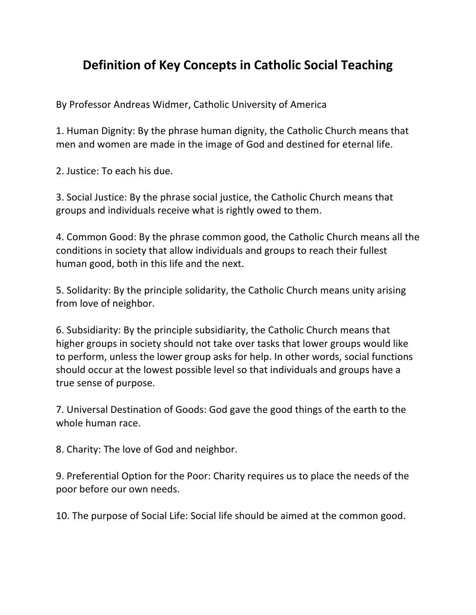## **Definition of Key Concepts in Catholic Social Teaching**

By Professor Andreas Widmer, Catholic University of America

1. Human Dignity: By the phrase human dignity, the Catholic Church means that men and women are made in the image of God and destined for eternal life.

2. Justice: To each his due.

3. Social Justice: By the phrase social justice, the Catholic Church means that groups and individuals receive what is rightly owed to them.

4. Common Good: By the phrase common good, the Catholic Church means all the conditions in society that allow individuals and groups to reach their fullest human good, both in this life and the next.

5. Solidarity: By the principle solidarity, the Catholic Church means unity arising from love of neighbor.

6. Subsidiarity: By the principle subsidiarity, the Catholic Church means that higher groups in society should not take over tasks that lower groups would like to perform, unless the lower group asks for help. In other words, social functions should occur at the lowest possible level so that individuals and groups have a true sense of purpose.

7. Universal Destination of Goods: God gave the good things of the earth to the whole human race.

8. Charity: The love of God and neighbor.

9. Preferential Option for the Poor: Charity requires us to place the needs of the poor before our own needs.

10. The purpose of Social Life: Social life should be aimed at the common good.